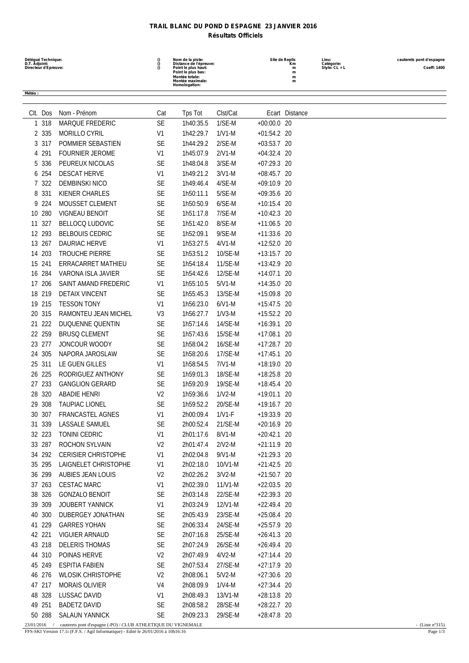## **TRAIL BLANC DU POND D ESPAGNE 23 JANVIER 2016 Résultats Officiels**

| Délégué Technique:<br>D.T. Adjoint:<br>Directeur d'Epreuve: |                  |                                                   | $\S_0$                      | Nom de la piste:<br>Distance de l'épreuve:<br>Point le plus haut:<br>Point le plus bas:<br>Montée totale:<br>Montée maximale:<br>Homologation: |                      |                                | Site de Replis<br>Κm<br>m<br>m<br>m<br>m | Lieu:<br>Catégorie:<br>Style: CL + L | cauterets pont d'espagne<br>Coeff: 1400 |
|-------------------------------------------------------------|------------------|---------------------------------------------------|-----------------------------|------------------------------------------------------------------------------------------------------------------------------------------------|----------------------|--------------------------------|------------------------------------------|--------------------------------------|-----------------------------------------|
| Météo:                                                      |                  |                                                   |                             |                                                                                                                                                |                      |                                |                                          |                                      |                                         |
|                                                             |                  |                                                   |                             |                                                                                                                                                |                      |                                |                                          |                                      |                                         |
|                                                             | CIt. Dos         | Nom - Prénom                                      | Cat                         | Tps Tot                                                                                                                                        | Clst/Cat             |                                | Ecart Distance                           |                                      |                                         |
| 1                                                           | 318              | <b>MARQUE FREDERIC</b>                            | <b>SE</b>                   | 1h40:35.5                                                                                                                                      | $1/SE-M$             | $+00:00.0$ 20                  |                                          |                                      |                                         |
|                                                             | 2 335<br>317     | <b>MORILLO CYRIL</b><br>POMMIER SEBASTIEN         | V1<br>SE                    | 1h42:29.7<br>1h44:29.2                                                                                                                         | $1/V1-M$<br>$2/SE-M$ | $+01:54.2$ 20                  |                                          |                                      |                                         |
| 3<br>4                                                      | 291              | <b>FOURNIER JEROME</b>                            | V1                          | 1h45:07.9                                                                                                                                      | $2/V1-M$             | $+03:53.7$ 20<br>$+04:32.4$ 20 |                                          |                                      |                                         |
| 5                                                           | 336              | PEUREUX NICOLAS                                   | <b>SE</b>                   | 1h48:04.8                                                                                                                                      | $3/SE-M$             | $+07:29.3$ 20                  |                                          |                                      |                                         |
| 6                                                           | 254              | <b>DESCAT HERVE</b>                               | V1                          | 1h49:21.2                                                                                                                                      | $3/V1-M$             | $+08:45.7$ 20                  |                                          |                                      |                                         |
|                                                             | 322              | <b>DEMBINSKI NICO</b>                             | SE                          | 1h49:46.4                                                                                                                                      | 4/SE-M               | $+09:10.9$ 20                  |                                          |                                      |                                         |
| 8                                                           | 331              | KIENER CHARLES                                    | <b>SE</b>                   | 1h50:11.1                                                                                                                                      | 5/SE-M               | $+09:35.6$ 20                  |                                          |                                      |                                         |
| 9                                                           | -224             | MOUSSET CLEMENT                                   | <b>SE</b>                   | 1h50:50.9                                                                                                                                      | $6/SE-M$             | $+10:15.4$ 20                  |                                          |                                      |                                         |
| 10                                                          | 280              | <b>VIGNEAU BENOIT</b>                             | <b>SE</b>                   | 1h51:17.8                                                                                                                                      | 7/SE-M               | $+10:42.3$ 20                  |                                          |                                      |                                         |
| 11                                                          | 327              | <b>BELLOCQ LUDOVIC</b>                            | SE                          | 1h51:42.0                                                                                                                                      | 8/SE-M               | $+11:06.5$ 20                  |                                          |                                      |                                         |
|                                                             | 12 293           | <b>BELBOUIS CEDRIC</b>                            | <b>SE</b>                   | 1h52:09.1                                                                                                                                      | 9/SE-M               | $+11:33.6$ 20                  |                                          |                                      |                                         |
| 13                                                          | 267              | DAURIAC HERVE                                     | V1                          | 1h53:27.5                                                                                                                                      | $4/V1-M$             | +12:52.0 20                    |                                          |                                      |                                         |
| 14                                                          | 203              | <b>TROUCHE PIERRE</b>                             | SE                          | 1h53:51.2                                                                                                                                      | 10/SE-M              | $+13:15.7$ 20                  |                                          |                                      |                                         |
| 15 241                                                      |                  | ERRACARRET MATHIEU                                | <b>SE</b>                   | 1h54:18.4                                                                                                                                      | 11/SE-M              | $+13:42.9$ 20                  |                                          |                                      |                                         |
|                                                             | 16 284           | VARONA ISLA JAVIER                                | <b>SE</b>                   | 1h54:42.6                                                                                                                                      | 12/SE-M              | $+14:07.1$ 20                  |                                          |                                      |                                         |
| 17                                                          | 206              | SAINT AMAND FREDERIC                              | V1                          | 1h55:10.5                                                                                                                                      | $5/V1-M$             | $+14:35.0$ 20                  |                                          |                                      |                                         |
| 18                                                          | 219              | <b>DETAIX VINCENT</b>                             | <b>SE</b>                   | 1h55:45.3                                                                                                                                      | 13/SE-M              | +15:09.8 20                    |                                          |                                      |                                         |
| 19                                                          | 215              | <b>TESSON TONY</b>                                | V1                          | 1h56:23.0                                                                                                                                      | $6/V1-M$             | $+15:47.5$ 20                  |                                          |                                      |                                         |
| 20                                                          | 315              | RAMONTEU JEAN MICHEL                              | V3                          | 1h56:27.7                                                                                                                                      | $1/N3-M$             | $+15:52.2$ 20                  |                                          |                                      |                                         |
| 21                                                          | 222              | DUQUENNE QUENTIN                                  | <b>SE</b>                   | 1h57:14.6                                                                                                                                      | 14/SE-M              | $+16:39.1$ 20                  |                                          |                                      |                                         |
| 22                                                          | 259              | <b>BRUSQ CLEMENT</b>                              | <b>SE</b>                   | 1h57:43.6                                                                                                                                      | 15/SE-M              | $+17:08.1$ 20                  |                                          |                                      |                                         |
| 23.                                                         | 277              | JONCOUR WOODY                                     | SE                          | 1h58:04.2                                                                                                                                      | 16/SE-M              | $+17:28.7$ 20                  |                                          |                                      |                                         |
| 24                                                          | 305              | NAPORA JAROSLAW                                   | <b>SE</b>                   | 1h58:20.6                                                                                                                                      | 17/SE-M              | $+17:45.1$ 20                  |                                          |                                      |                                         |
| 25 311                                                      |                  | LE GUEN GILLES                                    | V1                          | 1h58:54.5                                                                                                                                      | $7/N1-M$             | $+18:19.0$ 20                  |                                          |                                      |                                         |
| 26                                                          | 225              | RODRIGUEZ ANTHONY                                 | <b>SE</b>                   | 1h59:01.3                                                                                                                                      | 18/SE-M              | +18:25.8 20                    |                                          |                                      |                                         |
| 27                                                          | 233              | <b>GANGLION GERARD</b>                            | <b>SE</b>                   | 1h59:20.9                                                                                                                                      | 19/SE-M              | $+18:45.4$ 20                  |                                          |                                      |                                         |
|                                                             | 28 320           | <b>ABADIE HENRI</b>                               | V <sub>2</sub>              | 1h59:36.6                                                                                                                                      | $1/V2-M$             | $+19:01.1$ 20                  |                                          |                                      |                                         |
|                                                             | 29 308           | <b>TAUPIAC LIONEL</b>                             | <b>SE</b>                   | 1h59:52.2                                                                                                                                      | 20/SE-M              | +19:16.7 20                    |                                          |                                      |                                         |
|                                                             | 30 307           | FRANCASTEL AGNES                                  | V <sub>1</sub>              | 2h00:09.4                                                                                                                                      | $1/V1-F$             | +19:33.9 20                    |                                          |                                      |                                         |
|                                                             | 31 339           | LASSALE SAMUEL                                    | <b>SE</b>                   | 2h00:52.4                                                                                                                                      | 21/SE-M              | $+20:16.9$ 20                  |                                          |                                      |                                         |
|                                                             | 32 223           | TONINI CEDRIC                                     | V1                          | 2h01:17.6                                                                                                                                      | $8/V1-M$             | $+20:42.1$ 20                  |                                          |                                      |                                         |
|                                                             | 33 287           | ROCHON SYLVAIN                                    | V <sub>2</sub>              | 2h01:47.4                                                                                                                                      | $2/V2-M$             | +21:11.9 20                    |                                          |                                      |                                         |
|                                                             | 34 292           | <b>CERISIER CHRISTOPHE</b>                        | V1                          | 2h02:04.8                                                                                                                                      | $9/V1-M$             | +21:29.3 20                    |                                          |                                      |                                         |
|                                                             | 35 295           | LAIGNELET CHRISTOPHE                              | V <sub>1</sub>              | 2h02:18.0                                                                                                                                      | 10/V1-M              | $+21:42.5$ 20                  |                                          |                                      |                                         |
|                                                             | 36 299           | AUBIES JEAN LOUIS                                 | V <sub>2</sub>              | 2h02:26.2                                                                                                                                      | $3/V2-M$             | +21:50.7 20                    |                                          |                                      |                                         |
|                                                             | 37 263           | CESTAC MARC                                       | V <sub>1</sub>              | 2h02:39.0                                                                                                                                      | 11/V1-M              | $+22:03.5$ 20                  |                                          |                                      |                                         |
|                                                             | 38 326           | <b>GONZALO BENOIT</b>                             | <b>SE</b>                   | 2h03:14.8                                                                                                                                      | 22/SE-M              | +22:39.3 20                    |                                          |                                      |                                         |
|                                                             | 39 309           | <b>JOUBERT YANNICK</b>                            | V1                          | 2h03:24.9                                                                                                                                      | 12/V1-M              | +22:49.4 20                    |                                          |                                      |                                         |
|                                                             | 40 300           | DUBERGEY JONATHAN                                 | <b>SE</b>                   | 2h05:43.9                                                                                                                                      | 23/SE-M              | $+25:08.4$ 20                  |                                          |                                      |                                         |
|                                                             | 41 229           | <b>GARRES YOHAN</b>                               | <b>SE</b>                   | 2h06:33.4                                                                                                                                      | 24/SE-M              | +25:57.9 20                    |                                          |                                      |                                         |
|                                                             | 42 221           | <b>VIGUIER ARNAUD</b>                             | <b>SE</b>                   | 2h07:16.8                                                                                                                                      | 25/SE-M              | $+26:41.3$ 20                  |                                          |                                      |                                         |
|                                                             | 43 218           | <b>DELERIS THOMAS</b>                             | SE                          | 2h07:24.9                                                                                                                                      | 26/SE-M              | $+26:49.4$ 20                  |                                          |                                      |                                         |
|                                                             | 44 310           | POINAS HERVE                                      | V <sub>2</sub>              | 2h07:49.9                                                                                                                                      | $4/N2-M$             | $+27:14.4$ 20                  |                                          |                                      |                                         |
|                                                             | 45 249<br>46 276 | <b>ESPITIA FABIEN</b><br><b>WLOSIK CHRISTOPHE</b> | <b>SE</b><br>V <sub>2</sub> | 2h07:53.4<br>2h08:06.1                                                                                                                         | 27/SE-M<br>$5/V2-M$  | +27:17.9 20<br>+27:30.6 20     |                                          |                                      |                                         |
|                                                             | 47 217           | <b>MORAIS OLIVIER</b>                             | V4                          | 2h08:09.9                                                                                                                                      | $1/N4-M$             | $+27:34.4$ 20                  |                                          |                                      |                                         |
|                                                             | 48 328           | LUSSAC DAVID                                      | V <sub>1</sub>              | 2h08:49.3                                                                                                                                      | 13/V1-M              | +28:13.8 20                    |                                          |                                      |                                         |
|                                                             | 49 251           | <b>BADETZ DAVID</b>                               | SE                          | 2h08:58.2                                                                                                                                      | 28/SE-M              | +28:22.7 20                    |                                          |                                      |                                         |
|                                                             | 50 288           | <b>SALAUN YANNICK</b>                             | SE                          | 2h09:23.3                                                                                                                                      | 29/SE-M              | +28:47.8 20                    |                                          |                                      |                                         |

23/01/2016 / cauterets pont d'espagne (-PO) / CLUB ATHLETIQUE DU VIGNEMALE - (Liste n°315)

FFS-SKI Version 17.1i (F.F.S. / Agil Informatique) - Edité le 26/01/2016 à 10h16:16 Page 1/3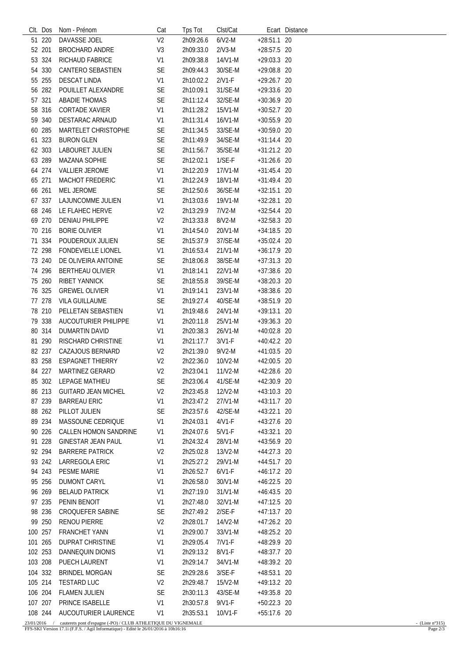| CIt. Dos | Nom - Prénom               | Cat            | Tps Tot   | Clst/Cat  |               | Ecart Distance |
|----------|----------------------------|----------------|-----------|-----------|---------------|----------------|
| 51 220   | DAVASSE JOEL               | V <sub>2</sub> | 2h09:26.6 | $6/N2-M$  | +28:51.1 20   |                |
| 52 201   | <b>BROCHARD ANDRE</b>      | V3             | 2h09:33.0 | $2/V3-M$  | +28:57.5 20   |                |
| 53 324   | <b>RICHAUD FABRICE</b>     | V <sub>1</sub> | 2h09:38.8 | 14/V1-M   | $+29:03.3$ 20 |                |
| 54 330   | CANTERO SEBASTIEN          | <b>SE</b>      | 2h09:44.3 | 30/SE-M   | +29:08.8 20   |                |
| 55 255   | <b>DESCAT LINDA</b>        | V <sub>1</sub> | 2h10:02.2 | $2/V1-F$  | $+29:26.7$ 20 |                |
| 56 282   | POUILLET ALEXANDRE         | <b>SE</b>      | 2h10:09.1 | 31/SE-M   | +29:33.6 20   |                |
| 57 321   | <b>ABADIE THOMAS</b>       | SE             | 2h11:12.4 | 32/SE-M   | $+30:36.9$ 20 |                |
| 58 316   | <b>CORTADE XAVIER</b>      | V <sub>1</sub> | 2h11:28.2 | 15/V1-M   | $+30:52.7$ 20 |                |
| 59 340   | DESTARAC ARNAUD            | V <sub>1</sub> | 2h11:31.4 | 16/V1-M   | $+30:55.9$ 20 |                |
|          |                            |                |           |           |               |                |
| 60 285   | MARTELET CHRISTOPHE        | <b>SE</b>      | 2h11:34.5 | 33/SE-M   | +30:59.0 20   |                |
| 61 323   | <b>BURON GLEN</b>          | SE             | 2h11:49.9 | 34/SE-M   | $+31:14.4$ 20 |                |
| 62 303   | LABOURET JULIEN            | <b>SE</b>      | 2h11:56.7 | 35/SE-M   | $+31:21.2$ 20 |                |
| 63 289   | <b>MAZANA SOPHIE</b>       | <b>SE</b>      | 2h12:02.1 | $1/SE-F$  | $+31:26.6$ 20 |                |
| 64 274   | <b>VALLIER JEROME</b>      | V1             | 2h12:20.9 | 17/V1-M   | $+31:45.4$ 20 |                |
| 65 271   | <b>MACHOT FREDERIC</b>     | V <sub>1</sub> | 2h12:24.9 | 18/V1-M   | $+31:49.4$ 20 |                |
| 66 261   | <b>MEL JEROME</b>          | <b>SE</b>      | 2h12:50.6 | 36/SE-M   | $+32:15.1$ 20 |                |
| 67 337   | LAJUNCOMME JULIEN          | V <sub>1</sub> | 2h13:03.6 | 19/V1-M   | $+32:28.1$ 20 |                |
| 68 246   | LE FLAHEC HERVE            | V <sub>2</sub> | 2h13:29.9 | $7/V2-M$  | $+32:54.4$ 20 |                |
| 69 270   | <b>DENIAU PHILIPPE</b>     | V <sub>2</sub> | 2h13:33.8 | $8/V2-M$  | +32:58.3 20   |                |
| 70 216   | <b>BORIE OLIVIER</b>       | V <sub>1</sub> | 2h14:54.0 | 20/V1-M   | +34:18.5 20   |                |
| 71 334   | POUDEROUX JULIEN           | <b>SE</b>      | 2h15:37.9 | 37/SE-M   | $+35:02.4$ 20 |                |
| 72 298   | <b>FONDEVIELLE LIONEL</b>  | V <sub>1</sub> | 2h16:53.4 | 21/V1-M   | $+36:17.9$ 20 |                |
| 73 240   | DE OLIVEIRA ANTOINE        | SE             | 2h18:06.8 | 38/SE-M   | $+37:31.3$ 20 |                |
| 74 296   | <b>BERTHEAU OLIVIER</b>    | V <sub>1</sub> | 2h18:14.1 | 22/V1-M   | +37:38.6 20   |                |
| 75 260   | <b>RIBET YANNICK</b>       | SE             | 2h18:55.8 | 39/SE-M   | $+38:20.3$ 20 |                |
| 76 325   | <b>GREWEL OLIVIER</b>      | V <sub>1</sub> | 2h19:14.1 | 23/V1-M   | +38:38.6 20   |                |
| 77 278   | <b>VILA GUILLAUME</b>      | SE             | 2h19:27.4 | 40/SE-M   | +38:51.9 20   |                |
| 78 210   | PELLETAN SEBASTIEN         | V <sub>1</sub> | 2h19:48.6 | 24/V1-M   | +39:13.1 20   |                |
| 79 338   | AUCOUTURIER PHILIPPE       | V <sub>1</sub> | 2h20:11.8 | 25/V1-M   | +39:36.3 20   |                |
| 80 314   | <b>DUMARTIN DAVID</b>      | V <sub>1</sub> | 2h20:38.3 | 26/V1-M   | $+40:02.8$ 20 |                |
| 81 290   | RISCHARD CHRISTINE         | V <sub>1</sub> | 2h21:17.7 | $3/V1-F$  | $+40:42.2$ 20 |                |
| 82 237   | CAZAJOUS BERNARD           | V <sub>2</sub> | 2h21:39.0 | $9/N2-M$  | +41:03.5 20   |                |
| 83 258   | <b>ESPAGNET THIERRY</b>    |                |           | 10/V2-M   |               |                |
|          |                            | V <sub>2</sub> | 2h22:36.0 |           | $+42:00.5$ 20 |                |
| 84 227   | MARTINEZ GERARD            | V <sub>2</sub> | 2h23:04.1 | $11/N2-M$ | +42:28.6 20   |                |
| 85 302   | LEPAGE MATHIEU             | <b>SE</b>      | 2h23:06.4 | 41/SE-M   | +42:30.9 20   |                |
| 86 213   | <b>GUITARD JEAN MICHEL</b> | V <sub>2</sub> | 2h23:45.8 | 12/V2-M   | +43:10.3 20   |                |
| 87 239   | <b>BARREAU ERIC</b>        | V <sub>1</sub> | 2h23:47.2 | 27/V1-M   | +43:11.7 20   |                |
| 88 262   | PILLOT JULIEN              | <b>SE</b>      | 2h23:57.6 | 42/SE-M   | +43:22.1 20   |                |
| 89 234   | MASSOUNE CEDRIQUE          | V <sub>1</sub> | 2h24:03.1 | $4/V1-F$  | +43:27.6 20   |                |
| 90 226   | CALLEN HOMON SANDRINE      | V1             | 2h24:07.6 | $5/V1-F$  | +43:32.1 20   |                |
| 91 228   | <b>GINESTAR JEAN PAUL</b>  | V1             | 2h24:32.4 | 28/V1-M   | +43:56.9 20   |                |
| 92 294   | <b>BARRERE PATRICK</b>     | V <sub>2</sub> | 2h25:02.8 | 13/V2-M   | +44:27.3 20   |                |
| 93 242   | LARREGOLA ERIC             | V1             | 2h25:27.2 | 29/V1-M   | +44:51.7 20   |                |
| 94 243   | PESME MARIE                | V1             | 2h26:52.7 | $6/V1-F$  | +46:17.2 20   |                |
| 95 256   | <b>DUMONT CARYL</b>        | V1             | 2h26:58.0 | 30/V1-M   | $+46:22.5$ 20 |                |
| 96 269   | <b>BELAUD PATRICK</b>      | V1             | 2h27:19.0 | 31/V1-M   | $+46:43.5$ 20 |                |
| 97 235   | PENIN BENOIT               | V1             | 2h27:48.0 | 32/V1-M   | +47:12.5 20   |                |
| 98 236   | <b>CROQUEFER SABINE</b>    | <b>SE</b>      | 2h27:49.2 | $2/SE-F$  | +47:13.7 20   |                |
| 99 250   | <b>RENOU PIERRE</b>        | V <sub>2</sub> | 2h28:01.7 | 14/V2-M   | $+47:26.2$ 20 |                |
| 100 257  | <b>FRANCHET YANN</b>       | V <sub>1</sub> | 2h29:00.7 | 33/V1-M   | +48:25.2 20   |                |
| 101 265  | <b>DUPRAT CHRISTINE</b>    | V1             | 2h29:05.4 | 7/V1-F    | +48:29.9 20   |                |
| 102 253  | DANNEQUIN DIONIS           | V1             | 2h29:13.2 | 8/V1-F    | +48:37.7 20   |                |
| 103 208  | PUECH LAURENT              | V1             | 2h29:14.7 | 34/V1-M   | $+48:39.2$ 20 |                |
| 104 332  | <b>BRINDEL MORGAN</b>      | <b>SE</b>      | 2h29:28.6 | $3/SE-F$  | $+48:53.1$ 20 |                |
| 105 214  | <b>TESTARD LUC</b>         | V <sub>2</sub> | 2h29:48.7 | $15/N2-M$ | $+49:13.2$ 20 |                |
|          |                            |                |           |           |               |                |
| 106 204  | <b>FLAMEN JULIEN</b>       | SE             | 2h30:11.3 | 43/SE-M   | +49:35.8 20   |                |
| 107 207  | PRINCE ISABELLE            | V <sub>1</sub> | 2h30:57.8 | $9/V1-F$  | $+50:22.3$ 20 |                |
| 108 244  | AUCOUTURIER LAURENCE       | V <sub>1</sub> | 2h35:53.1 | 10/V1-F   | +55:17.6 20   |                |

23/01/2016 / cauterets pont d'espagne (-PO)/CLUB ATHLETIQUE DU VIGNEMALE<br>FFS-SKI Version 17.1i (F.F.S. / Agil Informatique) - Edité le 26/01/2016 à 10h16:16 Page 2/3